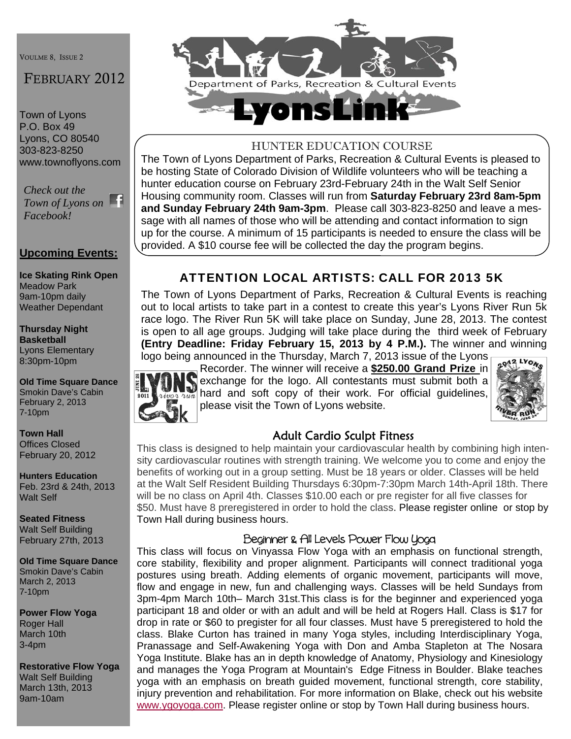VOULME 8, ISSUE 2

# FEBRUARY 2012

Town of Lyons P.O. Box 49 Lyons, CO 80540 303-823-8250 www.townoflyons.com

*Check out the Town of Lyons on Facebook!* 

#### **Upcoming Events:**

**Ice Skating Rink Open**  Meadow Park 9am-10pm daily Weather Dependant

**Thursday Night Basketball**  Lyons Elementary 8:30pm-10pm

**Old Time Square Dance**  Smokin Dave's Cabin February 2, 2013 7-10pm

**Town Hall**  Offices Closed February 20, 2012

**Hunters Education**  Feb. 23rd & 24th, 2013 Walt Self

**Seated Fitness**  Walt Self Building February 27th, 2013

**Old Time Square Dance**  Smokin Dave's Cabin March 2, 2013 7-10pm

**Power Flow Yoga**  Roger Hall March 10th 3-4pm

**Restorative Flow Yoga** Walt Self Building March 13th, 2013 9am-10am



## HUNTER EDUCATION COURSE

The Town of Lyons Department of Parks, Recreation & Cultural Events is pleased to be hosting State of Colorado Division of Wildlife volunteers who will be teaching a hunter education course on February 23rd-February 24th in the Walt Self Senior Housing community room. Classes will run from **Saturday February 23rd 8am-5pm and Sunday February 24th 9am-3pm**. Please call 303-823-8250 and leave a message with all names of those who will be attending and contact information to sign up for the course. A minimum of 15 participants is needed to ensure the class will be provided. A \$10 course fee will be collected the day the program begins.

# ATTENTION LOCAL ARTISTS: CALL FOR 2013 5K

The Town of Lyons Department of Parks, Recreation & Cultural Events is reaching out to local artists to take part in a contest to create this year's Lyons River Run 5k race logo. The River Run 5K will take place on Sunday, June 28, 2013. The contest is open to all age groups. Judging will take place during the third week of February **(Entry Deadline: Friday February 15, 2013 by 4 P.M.).** The winner and winning logo being announced in the Thursday, March 7, 2013 issue of the Lyons



Recorder. The winner will receive a **\$250.00 Grand Prize** in exchange for the logo. All contestants must submit both a **Hard exchange for the logo. All contestants must submit both a**<br>hard and soft copy of their work. For official guidelines, please visit the Town of Lyons website.



#### Adult Cardio Sculpt Fitness

This class is designed to help maintain your cardiovascular health by combining high intensity cardiovascular routines with strength training. We welcome you to come and enjoy the benefits of working out in a group setting. Must be 18 years or older. Classes will be held at the Walt Self Resident Building Thursdays 6:30pm-7:30pm March 14th-April 18th. There will be no class on April 4th. Classes \$10.00 each or pre register for all five classes for \$50. Must have 8 preregistered in order to hold the class. Please register online or stop by Town Hall during business hours.

#### Beginner & All Levels Power Flow Yoga

This class will focus on Vinyassa Flow Yoga with an emphasis on functional strength, core stability, flexibility and proper alignment. Participants will connect traditional yoga postures using breath. Adding elements of organic movement, participants will move, flow and engage in new, fun and challenging ways. Classes will be held Sundays from 3pm-4pm March 10th– March 31st.This class is for the beginner and experienced yoga participant 18 and older or with an adult and will be held at Rogers Hall. Class is \$17 for drop in rate or \$60 to pregister for all four classes. Must have 5 preregistered to hold the class. Blake Curton has trained in many Yoga styles, including Interdisciplinary Yoga, Pranassage and Self-Awakening Yoga with Don and Amba Stapleton at The Nosara Yoga Institute. Blake has an in depth knowledge of Anatomy, Physiology and Kinesiology and manages the Yoga Program at Mountain's Edge Fitness in Boulder. Blake teaches yoga with an emphasis on breath guided movement, functional strength, core stability, injury prevention and rehabilitation. For more information on Blake, check out his website www.ygoyoga.com. Please register online or stop by Town Hall during business hours.